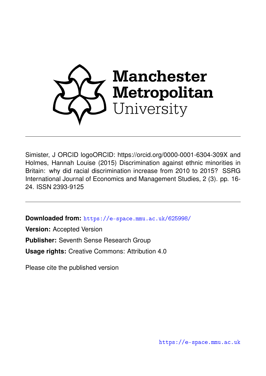

Simister, J ORCID logoORCID: https://orcid.org/0000-0001-6304-309X and Holmes, Hannah Louise (2015) Discrimination against ethnic minorities in Britain: why did racial discrimination increase from 2010 to 2015? SSRG International Journal of Economics and Management Studies, 2 (3). pp. 16- 24. ISSN 2393-9125

**Downloaded from:** <https://e-space.mmu.ac.uk/625998/>

**Version:** Accepted Version

**Publisher:** Seventh Sense Research Group

**Usage rights:** Creative Commons: Attribution 4.0

Please cite the published version

<https://e-space.mmu.ac.uk>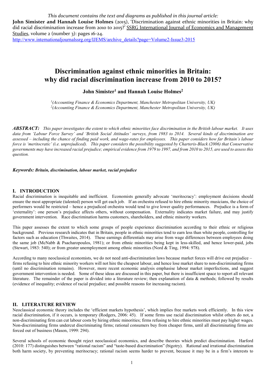*This document contains the text and diagrams as published in this journal article:*

John Simister and Hannah Louise Holmes (2015), 'Discrimination against ethnic minorities in Britain: why did racial discrimination increase from 2010 to 2015?' SSRG International Journal of Economics and Management Studies, volume 2 (number 3): pages 16-24.

[http://www.internationaljournalssrg.org/IJEMS/archive\\_details?page=Volume2-Issue3-2015](http://www.internationaljournalssrg.org/IJEMS/archive_details?page=Volume2-Issue3-2015)

# **Discrimination against ethnic minorities in Britain: why did racial discrimination increase from 2010 to 2015?**

# **John Simister1 and Hannah Louise Holmes2**

*1 (Accounting Finance & Economics Department, Manchester Metropolitan University, UK) 2 (Accounting Finance & Economics Department, Manchester Metropolitan University, UK)*

*ABSTRACT: This paper investigates the extent to which ethnic minorities face discrimination in the British labour market. It uses data from 'Labour Force Survey' and 'British Social Attitudes' surveys, from 1983 to 2014. Several kinds of discrimination are assessed – including the chance of finding paid work, and wage-rates for employees. This paper considers how far Britain's labour force is 'meritocratic' (i.e. unprejudiced). This paper considers the possibility suggested by Charteris-Black (2006) that Conservative governments may have increased racial prejudice; empirical evidence from 1979 to 1997, and from 2010 to 2015, are used to assess this question.*

*Keywords: Britain, discrimination, labour market, racial prejudice*

# **I. INTRODUCTION**

Racial discrimination is inequitable and inefficient. Economists generally advocate 'meritocracy': employment decisions should ensure the most appropriate (talented) person will get each job. If an orchestra refused to hire ethnic minority musicians, the choice of performers would be restricted – hence a prejudiced orchestra would tend to give lower quality performances. Prejudice is a form of 'externality': one person's prejudice affects others, without compensation. Externality indicates market failure, and may justify government intervention. Race discrimination harms customers, shareholders, and ethnic minority workers.

This paper assesses the extent to which some groups of people experience discrimination according to their ethnic or religious background. Previous research indicates that in Britain, people in ethnic minorities tend to earn less than white people, controlling for factors such as education (Thwaites, 2014). These earnings differentials may arise from wage differences between employees doing the same job (McNabb & Psacharopoulos, 1981); or from ethnic minorities being kept in less-skilled, and hence lower-paid, jobs (Stewart, 1983: 540); or from greater unemployment among ethnic minorities (Nord & Ting, 1994: 978).

According to many neoclassical economists, we do not need anti-discrimination laws because market forces will drive out prejudice – firms refusing to hire ethnic minority workers will not hire the cheapest labour, and hence lose market share to non-discriminating firms (until no discrimination remains). However, more recent economic analysis emphasise labour market imperfections, and suggest government intervention is needed. Some of these ideas are discussed in this paper, but there is insufficient space to report all relevant literature. The remainder of the paper is divided into a literature review; then explanation of data & methods; followed by results (evidence of inequality; evidence of racial prejudice; and possible reasons for increasing racism).

#### **II. LITERATURE REVIEW**

Neoclassical economic theory includes the 'efficient markets hypothesis', which implies free markets work efficiently. In this view racial discrimination, if it occurs, is temporary (Rodgers, 2006: 45). If some firms use racial discrimination whilst others do not, a non-discriminating firm can cut labour costs by hiring ethnic minorities; firms refusing to hire ethnic minorities must pay higher wages. Non-discriminating firms undercut discriminating firms; rational consumers buy from cheaper firms, until all discriminating firms are forced out of business (Mason, 1999: 294).

Several schools of economic thought reject neoclassical economics, and describe theories which predict discrimination. Harford (2010: 177) distinguishes between "rational racism" and "taste-based discrimination" (bigotry). Rational and irrational discrimination both harm society, by preventing meritocracy; rational racism seems harder to prevent, because it may be in a firm's interests to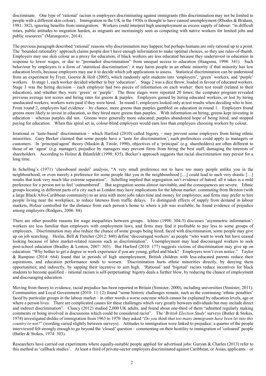discriminate. One type of 'rational' racism is employees discriminating against immigrants (this discrimination may not be limited to people with a different skin colour). Immigration in the UK in the 1950s is thought to have caused unemployment (Rhodes & Braham, 1981: 382), ignoring benefits from immigration. Workers could interpret high unemployment as excess supply of labour: "in difficult times, public attitudes to migration harden, as migrants are increasingly seen as competing with native workers for limited jobs and public resources" (Marangozov, 2014).

The previous paragraph described 'rational' reasons why discrimination may happen; but perhaps humans are only rational up to a point. The 'bounded rationality' approach claims people don't have enough information to make optimal choices, so they use rules-of-thumb. Employers may use skin colour as a proxy for education, if black workers are less educated because they underinvest in education in response to lower wages, or due to "premarket discrimination" from unequal access to education (Haagsma, 1998: 341). Such behaviour by employers is a form of 'statistical discrimination': it may harm people in an ethnic minority if that minority has low education levels, because employers may use it to decide which job applications to assess. Statistical discrimination can be understood from an experiment by Fryer, Goeree & Holt (2005), which randomly split students into 'employers', 'green' workers, and 'purple' workers. In stage 1, each worker decided whether to buy 'education'. Stage 2 was a dice throw, loaded in favour of educated workers. Stage 3 was the hiring decision – each employer had two pieces of information on each worker: their test result (related to their education), and whether they were 'green' or 'purple'. The three stages were repeated 20 times; the computer program revealed previous average test scores and hiring rates for greens & purples. Employers gained by hiring educated workers, or lost by hiring uneducated workers; workers were paid if they were hired. In round 1, employers looked only at test results when deciding who to hire. From round 2, employers had evidence – by chance, more greens than purples gambled on education in round 1. Employers found greens more likely to invest in education, so they hired more greens than purples. With information on hiring, greens kept investing in education – whereas purples did not. Greens were generally more educated; purples abandoned hope of being hired, and stopped paying for education. When this spiral set in, colour-blind employers would earn less than employers choosing workers by colour.

Irrational or 'taste-based' discrimination – which Harford (2010) called bigotry – may prevent some employers from hiring ethnic minorities. Gary Becker claimed that some people have a 'taste for discrimination'; such preferences could apply to managers or customers. In 'principal/agent' theory (Maskin & Tirole, 1990), objectives of a 'principal' (e.g. shareholders) are often different to those of an 'agent' (e.g. manager); prejudice by managers may prevent firms from hiring the best staff, damaging the interests of shareholders. According to Holzer & Ihlanfeldt (1998: 835), Becker's approach suggests that racial discrimination may persist for a long time.

In Schelling's (1971) 'chessboard model' analysis, "A very small preference not to have too many people unlike you in the neighbourhood, or even merely a preference for some people like you in the neighbourhood […] could lead to such very drastic […] results that look very much like extreme separation". Schelling implied that segregation isn't evidence of hatred: all it takes is a mild preference for a person not to feel 'outnumbered'. But segregation seems almost inevitable, and the consequences are severe. Ethnic groups locating in different parts of a city such as London may have implications for the labour market: commuting from Brixton (with a large Black/Afro-Caribbean community) to an area with more jobs takes time and money for employees; and firms may prefer to hire people living near the workplace, to reduce lateness from traffic delays. To distinguish effects of supply from demand in labour markets, Holzer controlled for the distance from each person's home to where a job was available; he found evidence of prejudice among employers (Rodgers, 2006: 84).

There are other possible reasons for wage inequalities between groups. Ichino (1998: 304-5) discusses 'asymmetric information': workers are less familiar than employers with employment laws, and firms may find it profitable to pay less to some groups of employees. Discrimination may also reduce the chance of some groups being hired; faced with discrimination, some people may give up on job searching. Heslin, Bell & Fletcher (2012: 840) define 'discouraged workers' as people "who want to work but have ceased looking because of labor market-related reasons such as discrimination". Unemployment may lead discouraged workers to seek post-school education (Bradley & Lenton, 2007: 303). But Harford (2010: 177) suggests victims of discrimination may give up on education: "Why bother to get a degree or work experience if you are young, gifted and black? Employers won't even notice." Taylor & Rampino (2014: 664) found that in periods of high unemployment, British children with less-educated parents reduce their aspirations, and education performance tends to worsen. Discrimination hurts ethnic minorities directly, by denying them opportunities; and indirectly, by sapping their incentive to aim high. 'Rational' and 'bigoted' racists reduce incentives for black students to become qualified – rational racism is self-perpetuating: bigotry deals a further blow, by reducing the chance of employment and discouraging education.

Moving from theory to evidence, racial prejudice has been reported in Britain (Simister, 2000), including universities (Simister, 2011). Communities and Local Government (2010: 11-12) found "some historic challenges remain, such as the continuing 'ethnic penalties' faced by particular groups in the labour market – in other words a worse outcome which cannot be explained by education levels, age or where a person lives. There are complicated causes for these challenges which vary greatly between individuals but may include direct and indirect discrimination". Clancy (2012) studied 2,000 UK adults, and found about one-third of them "admitted regularly making comments or being involved in discussions which could be considered racist". The '*British Election Study*' surveys (Butler & Stokes, 1974) investigated dislike of immigration from 1963 to 1970: they asked "*Do you think that too many immigrants have been let into this country or not?*" (wording varied slightly between surveys). Attitudes to immigration were linked to prejudice: a quarter of the people interviewed felt strongly enough to go beyond the 'closed' question – commenting on their hostility to immigration of 'coloured' people (Butler & Stokes, 1974: 303).

Researchers have carried out experiments where equally-suitable people applied for advertised jobs: Guryan & Charles (2013) refer to this method as 'callback studies'. At least a third of private-sector employers discriminated against Caribbean, or Asian, applicants – or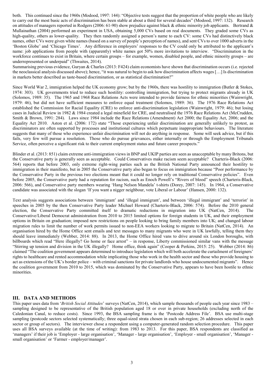both. This continued since the 1960s (Modood, 1997: 144): "Objective tests suggest that the proportion of white people who are likely to carry out the most basic acts of discrimination has been stable at about a third for several decades" (Modood, 1997: 132). Research on attitudes of managers reported in Rodgers (2006: 61-90) show prejudice against black & ethnic minority job applicants. Bertrand & Mullainathan (2004) performed an experiment in USA, obtaining 5,000 CVs based on real documents. They graded some CVs as high-quality, others as lower-quality. They then randomly assigned a person's name to each CV: some CVs had distinctively black names, other CVs were given white names (based on a survey of people's perception of names), and sent CVs to over 1000 adverts in the 'Boston Globe' and 'Chicago Times'. Any difference in employers' responses to the CV could only be attributed to the applicant's name: job applications from people with (apparently) white names got 50% more invitations to interview. "Discrimination in the workforce continues to exist in Britain, where certain groups – for example, women, disabled people, and ethnic minority groups – are underrepresented or underpaid" (Thwaites, 2014).

Summarising previous evidence, Guryan & Charles (2013: F424) claim economists have shown that discrimination occurs (i.e. rejected the neoclassical analysis discussed above); hence, "it was natural to begin to ask how discrimination affects wages […] Is discrimination in markets better described as taste-based discrimination, or as statistical discrimination?"

Since World War 2, immigration helped the UK economy grow; but by the 1960s, there was hostility to immigration (Butler & Stokes, 1974: 303). UK governments tried to reduce such hostility: controlling immigration, but trying to protect migrants already in UK (Solomos, 1989: 35). The 1965 and 1968 Race Relations Acts were intended to provide fairness for ethnic minorities (Wainwright, 1979: 46), but did not have sufficient measures to enforce equal treatment (Solomos, 1989: 36). The 1976 Race Relations Act established the Commission for Racial Equality (CRE) to enforce anti-discrimination legislation (Wainwright, 1979: 46); but losing cases in Judicial Review in 1982 & 1984 created a legal minefield for CRE, and neutralised the 1976 Race Relations Act (McCrudden, Smith & Brown, 1991: 284). Laws since 1984 include the Race Relations (Amendment) Act 2000; the Equality Act, 2006; and the Equality Act 2010. Aston et al. (2006: 172) state "Those experiencing unfair discrimination are generally unlikely to protest, as discriminators are often supported by processes and institutional cultures which perpetuate inappropriate behaviours. The literature suggests that many of those who experience unfair discrimination will not do anything in response. Some will seek advice, but if this fails, very few will pursue a resolution. Those who do pursue grievances, either internally or through the Employment Tribunals Service, often perceive a significant risk to their current employment status and future career prospects."

Blinder et al. (2013: 851) claim extreme anti-immigration views in BNP and UKIP parties are seen as unacceptable by many Britons, but the Conservative party is generally seen as acceptable. Could Conservatives make racism seem acceptable? Charteris-Black (2006: 564) reports that before 2003, only extreme right-wing parties such as the British National Party announced their hostility to immigration in their manifesto, but in 2005 the Conservative party also began to focus on immigration because "Poor performance by the Conservative Party in the previous two elections meant that it could no longer rely on traditional Conservative policies". Even before 2005, the Conservative party had a reputation for racism, such as Enoch Powell's "Rivers of blood" speech (Charteris-Black, 2006: 566), and Conservative party members wearing 'Hang Nelson Mandela' t-shirts (Dorey, 2007: 145). In 1964, a Conservative candidate was associated with the slogan 'If you want a nigger neighbour, vote Liberal or Labour' (Hansen, 2000: 132).

Text analysis suggests associations between 'immigrant' and 'illegal immigrant', and between 'illegal immigrant' and 'terrorist' in speeches in 2005 by the then Conservative Party leader Michael Howard (Charteris-Black, 2006: 574). Before the 2010 general election, the Conservative Party committed itself to dramatic reductions in migration into UK (NatCen, 2014). The Conservative/Liberal Democrat administration from 2010 to 2015 limited options for foreign students in UK, and their employment options in Britain on graduation; imposed new restrictions on people looking to bring family members into UK; and changed labour migration rules to limit the number of work permits issued to non-EEA workers looking to migrate to Britain (NatCen, 2014). An organisation hired by the Home Office sent emails and text messages to many migrants who were in UK lawfully, telling them they should leave immediately (Webber, 2014: 88). In 2013, the Home Office hired vans to drive around six London boroughs, with billboards which read "Here illegally? Go home or face arrest" – in response, Liberty commissioned similar vans with the message "Stirring up tension and division in the UK illegally? Home office, think again" (Cooper & Perkins, 2015: 25). Webber (2014: 86) claimed "The coalition government appears determined to introduce legislation which will both accelerate the curtailment of foreigners' rights to healthcare and rented accommodation while implicating those who work in the health sector and those who provide housing to act as extensions of the UK's border police – with criminal sanctions for private landlords who house undocumented migrants". Hence the coalition government from 2010 to 2015, which was dominated by the Conservative Party, appears to have been hostile to ethnic minorities.

# **III. DATA AND METHODS**

This paper uses data from '*British Social Attitudes*' surveys (NatCen, 2014), which sample thousands of people each year since 1983 – sampling designed to be representative of the British population aged 18 or over in private households (excluding north of the Caledonian Canal, to reduce costs). Since 1993, the BSA sampling frame is the 'Postcode Address File'. BSA use multi-stage sampling (postcode sectors selected systematically; three equal-sized strata chosen in each sub-region; 26 addresses selected in each sector or group of sectors). The interviewer chose a respondent using a computer-generated random selection procedure. This paper uses all BSA surveys available (at the time of writing): from 1983 to 2013. For this paper, BSA respondents are classified as 'managers' if their job is 'Employer - large organisation', 'Manager - large organisation', 'Employer - small organisation', 'Manager small organisation' or 'Farmer - employer/manager'.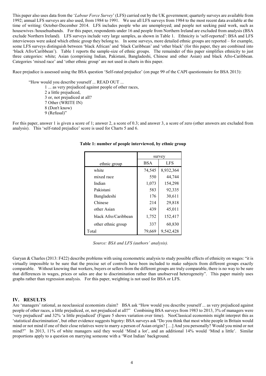This paper also uses data from the '*Labour Force Survey*' (LFS) carried out by the UK government; quarterly surveys are available from 1992; annual LFS surveys are also used, from 1984 to 1991. We use all LFS surveys from 1984 to the most recent data available at the time of writing: October-December 2014. LFS includes people who are unemployed; and people not seeking paid work, such as housewives /househusbands. For this paper, respondents under 16 and people from Northern Ireland are excluded from analysis (BSA exclude Northern Ireland). LFS surveys include very large samples, as shown in Table 1. Ethnicity is 'self-reported': BSA and LFS interviewees were asked which ethnic group they belong to. In some surveys, more detailed ethnic groups are reported – for example, some LFS surveys distinguish between 'black African' and 'black Caribbean' and 'other black' (for this paper, they are combined into 'black Afro/Caribbean'). Table 1 reports the sample-size of ethnic groups. The remainder of this paper simplifies ethnicity to just three categories: white; Asian (comprising Indian, Pakistani, Bangladeshi, Chinese and other Asian) and black Afro-Caribbean. Categories 'mixed race' and 'other ethnic group' are not used in charts in this paper.

Race prejudice is assessed using the BSA question 'Self-rated prejudice' (on page 99 of the CAPI questionnaire for BSA 2013):

"How would you describe yourself ... READ OUT ... 1 ... as very prejudiced against people of other races, 2 a little prejudiced, 3 or, not prejudiced at all? 7 Other (WRITE IN) 8 (Don't know) 9 (Refusal)"

For this paper, answer 1 is given a score of 1; answer 2, a score of 0.3; and answer 3, a score of zero (other answers are excluded from analysis). This 'self-rated prejudice' score is used for Charts 5 and 6.

|                      | survey              |            |  |
|----------------------|---------------------|------------|--|
| ethnic group         | <b>BSA</b>          | <b>LFS</b> |  |
| white                | 74,545              | 8,932,364  |  |
| mixed race           | 550                 | 44,744     |  |
| Indian               | 1,073               | 154,298    |  |
| Pakistani            | 583                 | 92,335     |  |
| Bangladeshi          | 176                 | 30,611     |  |
| Chinese              | 214<br>29,818       |            |  |
| other Asian          | 439                 | 45,011     |  |
| black Afro/Caribbean | 1,752               | 152,417    |  |
| other ethnic group   | 337                 | 60,830     |  |
| Total                | 79,669<br>9.542.428 |            |  |

# **Table 1: number of people interviewed, by ethnic group**

*Source: BSA and LFS (authors' analysis).*

Guryan & Charles (2013: F422) describe problems with using econometric analysis to study possible effects of ethnicity on wages: "it is virtually impossible to be sure that the precise set of controls have been included to make subjects from different groups exactly comparable. Without knowing that workers, buyers or sellers from the different groups are truly comparable, there is no way to be sure that differences in wages, prices or sales are due to discrimination rather than unobserved heterogeneity". This paper mainly uses graphs rather than regression analysis. For this paper, weighting is not used for BSA or LFS.

# **IV. RESULTS**

Are 'managers' rational, as neoclassical economists claim? BSA ask "How would you describe yourself ... as very prejudiced against people of other races, a little prejudiced, or, not prejudiced at all?" Combining BSA surveys from 1983 to 2013, 3% of managers were 'very prejudiced' and 32% 'a little prejudiced' (Figure 5 shows variation over time). NeoClassical economists might interpret this as 'statistical discrimination', but other evidence suggests bigotry: BSA surveys ask "Do you think that most white people in Britain would mind or not mind if one of their close relatives were to marry a person of Asian origin? […] And you personally? Would you mind or not mind?" In 2013, 11% of white managers said they would 'Mind a lot', and an additional 14% would 'Mind a little'. Similar proportions apply to a question on marrying someone with a 'West Indian' background.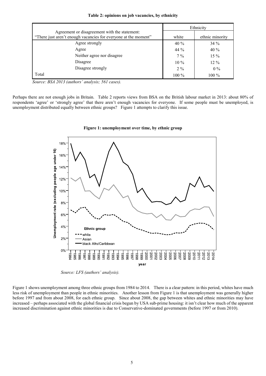|  | Table 2: opinions on job vacancies, by ethnicity |
|--|--------------------------------------------------|
|--|--------------------------------------------------|

|                                                                 | Ethnicity |                 |  |
|-----------------------------------------------------------------|-----------|-----------------|--|
| Agreement or disagreement with the statement:                   |           |                 |  |
| "There just aren't enough vacancies for everyone at the moment" | white     | ethnic minority |  |
| Agree strongly                                                  | 40 %      | $34\%$          |  |
| Agree                                                           | 44 %      | 40%             |  |
| Neither agree nor disagree                                      | $7\%$     | $15\%$          |  |
| Disagree                                                        | $10\%$    | $12\%$          |  |
| Disagree strongly                                               | 2.9/6     | $0\%$           |  |
| Total                                                           | $100\%$   | $100\%$         |  |

 *Source: BSA 2013 (authors' analysis; 561 cases).*

Perhaps there are not enough jobs in Britain. Table 2 reports views from BSA on the British labour market in 2013: about 80% of respondents 'agree' or 'strongly agree' that there aren't enough vacancies for everyone. If some people must be unemployed, is unemployment distributed equally between ethnic groups? Figure 1 attempts to clarify this issue.



**Figure 1: unemployment over time, by ethnic group**

*Source: LFS (authors' analysis).*

Figure 1 shows unemployment among three ethnic groups from 1984 to 2014. There is a clear pattern: in this period, whites have much less risk of unemployment than people in ethnic minorities. Another lesson from Figure 1 is that unemployment was generally higher before 1997 and from about 2008, for each ethnic group. Since about 2008, the gap between whites and ethnic minorities may have increased – perhaps associated with the global financial crisis begun by USA sub-prime housing: it isn't clear how much of the apparent increased discrimination against ethnic minorities is due to Conservative-dominated governments (before 1997 or from 2010).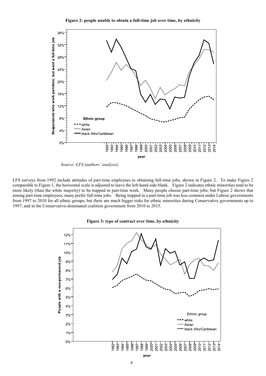**Figure 2: people unable to obtain a full-time job over time, by ethnicity**



*Source: LFS (authors' analysis)*

LFS surveys from 1992 include attitudes of part-time employees to obtaining full-time jobs, shown in Figure 2. To make Figure 2 comparable to Figure 1, the horizontal scale is adjusted to leave the left-hand-side blank. Figure 2 indicates ethnic minorities tend to be more likely (than the white majority) to be trapped in part-time work. Many people choose part-time jobs; but Figure 2 shows that among part-time employees, many prefer full-time jobs. Being trapped in a part-time job was less common under Labour governments from 1997 to 2010 for all ethnic groups; but there are much bigger risks for ethnic minorities during Conservative governments up to 1997, and in the Conservative-dominated coalition government from 2010 to 2015.



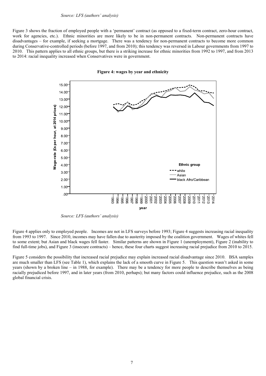Figure 3 shows the fraction of employed people with a 'permanent' contract (as opposed to a fixed-term contract, zero-hour contract, work for agencies, etc.). Ethnic minorities are more likely to be in non-permanent contracts. Non-permanent contracts have disadvantages – for example, if seeking a mortgage. There was a tendency for non-permanent contracts to become more common during Conservative-controlled periods (before 1997, and from 2010); this tendency was reversed in Labour governments from 1997 to 2010. This pattern applies to all ethnic groups, but there is a striking increase for ethnic minorities from 1992 to 1997, and from 2013 to 2014: racial inequality increased when Conservatives were in government.



**Figure 4: wages by year and ethnicity**

*Source: LFS (authors' analysis)*

Figure 4 applies only to employed people. Incomes are not in LFS surveys before 1993; Figure 4 suggests increasing racial inequality from 1993 to 1997. Since 2010, incomes may have fallen due to austerity imposed by the coalition government. Wages of whites fell to some extent; but Asian and black wages fell faster. Similar patterns are shown in Figure 1 (unemployment), Figure 2 (inability to find full-time jobs), and Figure 3 (insecure contracts) – hence, these four charts suggest increasing racial prejudice from 2010 to 2015.

Figure 5 considers the possibility that increased racial prejudice may explain increased racial disadvantage since 2010. BSA samples are much smaller than LFS (see Table 1), which explains the lack of a smooth curve in Figure 5. This question wasn't asked in some years (shown by a broken line – in 1988, for example). There may be a tendency for more people to describe themselves as being racially prejudiced before 1997, and in later years (from 2010, perhaps); but many factors could influence prejudice, such as the 2008 global financial crisis.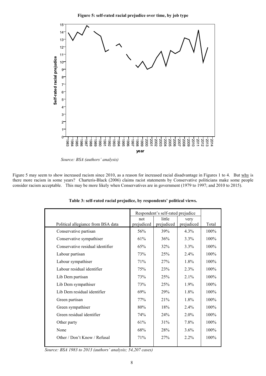

*Source: BSA (authors' analysis)*

Figure 5 may seem to show increased racism since 2010, as a reason for increased racial disadvantage in Figures 1 to 4. But why is there more racism in some years? Charteris-Black (2006) claims racist statements by Conservative politicians make some people consider racism acceptable. This may be more likely when Conservatives are in government (1979 to 1997; and 2010 to 2015).

|                                    | Respondent's self-rated prejudice |            |            |         |
|------------------------------------|-----------------------------------|------------|------------|---------|
|                                    | not                               | little     | very       |         |
| Political allegiance from BSA data | prejudiced                        | prejudiced | prejudiced | Total   |
| Conservative partisan              | 56%                               | 39%        | 4.3%       | $100\%$ |
| Conservative sympathiser           | 61%                               | 36%        | $3.3\%$    | 100%    |
| Conservative residual identifier   | 65%                               | 32%        | $3.3\%$    | $100\%$ |
| Labour partisan                    | 73%                               | 25%        | $2.4\%$    | $100\%$ |
| Labour sympathiser                 | 71%                               | 27%        | $1.8\%$    | $100\%$ |
| Labour residual identifier         | 75%                               | 23%        | 2.3%       | $100\%$ |
| Lib Dem partisan                   | 73%                               | 25%        | $2.1\%$    | $100\%$ |
| Lib Dem sympathiser                | 73%                               | 25%        | $1.9\%$    | $100\%$ |
| Lib Dem residual identifier        | 69%                               | 29%        | $1.8\%$    | $100\%$ |
| Green partisan                     | 77%                               | 21%        | 1.8%       | 100%    |
| Green sympathiser                  | 80%                               | 18%        | $2.4\%$    | 100%    |
| Green residual identifier          | 74%                               | 24%        | $2.0\%$    | $100\%$ |
| Other party                        | 61%                               | 31%        | 7.8%       | $100\%$ |
| None                               | 68%                               | 28%        | 3.6%       | $100\%$ |
| Other / Don't Know / Refusal       | 71%                               | 27%        | $2.2\%$    | $100\%$ |
|                                    |                                   |            |            |         |

**Table 3: self-rated racial prejudice, by respondents' political views.**

*Source: BSA 1983 to 2013 (authors' analysis; 54,207 cases)*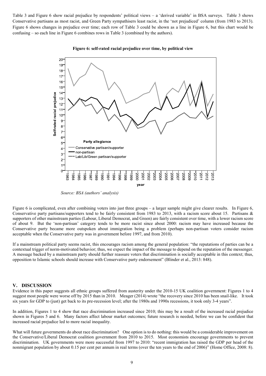Table 3 and Figure 6 show racial prejudice by respondents' political views – a 'derived variable' in BSA surveys. Table 3 shows Conservative partisans as most racist, and Green Party sympathisers least racist, in the 'not prejudiced' column (from 1983 to 2013). Figure 6 shows changes in prejudice over time; each row of Table 3 could be shown as a line in Figure 6, but this chart would be confusing – so each line in Figure 6 combines rows in Table 3 (combined by the authors).



#### **Figure 6: self-rated racial prejudice over time, by political view**

*Source: BSA (authors' analysis)*

Figure 6 is complicated, even after combining voters into just three groups – a larger sample might give clearer results. In Figure 6, Conservative party partisans/supporters tend to be fairly consistent from 1983 to 2013, with a racism score about 15. Partisans & supporters of other mainstream parties (Labour, Liberal Democrat, and Green) are fairly consistent over time, with a lower racism score of about 9. But the 'non-partisan' category tends to be more racist since about 2000: racism may have increased because the Conservative party became more outspoken about immigration being a problem (perhaps non-partisan voters consider racism acceptable when the Conservative party was in government before 1997, and from 2010).

If a mainstream political party seems racist, this encourages racism among the general population: "the reputations of parties can be a contextual trigger of norm-motivated behavior; thus, we expect the impact of the message to depend on the reputation of the messenger. A message backed by a mainstream party should further reassure voters that discrimination is socially acceptable in this context; thus, opposition to Islamic schools should increase with Conservative party endorsement" (Blinder et al., 2013: 848).

#### **V. DISCUSSION**

Evidence in this paper suggests all ethnic groups suffered from austerity under the 2010-15 UK coalition government: Figures 1 to 4 suggest most people were worse off by 2015 than in 2010. Meager (2014) wrote "the recovery since 2010 has been snail-like. It took six years for GDP to (just) get back to its pre-recession level; after the 1980s and 1990s recessions, it took only 3-4 years".

In addition, Figures 1 to 4 show that race discrimination increased since 2010; this may be a result of the increased racial prejudice shown in Figures 5 and 6. Many factors affect labour market outcomes; future research is needed, before we can be confident that increased racial prejudice led to more racial inequality.

What will future governments do about race discrimination? One option is to do nothing: this would be a considerable improvement on the Conservative/Liberal Democrat coalition government from 2010 to 2015. Most economists encourage governments to prevent discrimination. UK governments were more successful from 1997 to 2010: "recent immigration has raised the GDP per head of the nonmigrant population by about 0.15 per cent per annum in real terms (over the ten years to the end of 2006)" (Home Office, 2008: 8).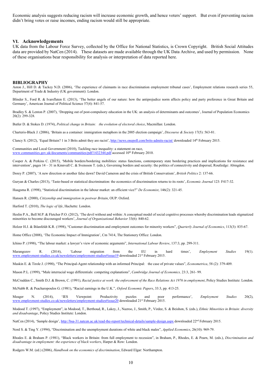Economic analysis suggests reducing racism will increase economic growth, and hence voters' support. But even if preventing racism didn't bring votes or raise incomes, ending racism would still be appropriate.

#### **VI. Acknowledgements**

UK data from the Labour Force Survey, collected by the Office for National Statistics, is Crown Copyright. British Social Attitudes data are provided by NatCen (2014). These datasets are made available through the UK Data Archive, and used by permission. None of these organisations bear responsibility for analysis or interpretation of data reported here.

#### **BIBLIOGRAPHY**

Aston J., Hill D. & Tackey N.D. (2006), 'The experience of claimants in race discrimination employment tribunal cases', Employment relations research series 55, Department of Trade & Industry (UK government): London.

Blinder S., Ford R. & Ivarsflaten E. (2013), 'The better angels of our nature: how the antiprejudice norm affects policy and party preference in Great Britain and Germany', American Journal of Political Science 57(4): 841-57.

Bradley S. & Lenton P. (2007), 'Dropping out of post-compulsory education in the UK: an analysis of determinants and outcomes', Journal of Population Economics 20(2): 299-328.

Butler D. & Stokes D. (1974), *Political change in Britain: the evolution of electoral choice*, Macmillan: London.

Charteris-Black J. (2006), 'Britain as a container: immigration metaphors in the 2005 election campaign', *Discourse & Society* 17(5): 563-81.

Clancy S. (2012), 'Equal Britain? 1 in 3 Brits admit they are racist'[, http://news.onepoll.com/brits-admits-racist/](http://news.onepoll.com/brits-admits-racist/) downloaded 14<sup>th</sup> February 2015.

Communities and Local Government (2010), Tackling race inequality: a statement on race, [www.communities.gov.uk/documents/communities/pdf/1432344.pdf](http://www.communities.gov.uk/documents/communities/pdf/1432344.pdf) accessed 10<sup>th</sup> February 2010.

Cooper A. & Perkins C. (2015), 'Mobile borders/bordering mobilities: status functions, contemporary state bordering practices and implications for resistance and intervention', pages 14 – 31 in Kinnvall C. & Svensson T. (eds.), Governing borders and security: the politics of connectivity and dispersal, Routledge: Abingdon.

Dorey P. (2007), 'A new direction or another false dawn? David Cameron and the crisis of British Conservatism', *British Politics* 2: 137-66.

Guryan & Charles (2013), 'Taste-based or statistical discrimination: the economics of discrimination returns to its roots', *Economic Journal* 123: F417-32.

Haagsma R. (1998), "Statistical discrimination in the labour market: an efficient vice?" *De Economist*, 146(2): 321-45.

Hansen R. (2000), *Citizenship and immigration in postwar Britain*, OUP: Oxford.

Harford T. (2010), *The logic of life*, Hachette: London.

Heslin P.A., Bell M.P. & Fletcher P.O. (2012), 'The devil without and within: A conceptual model of social cognitive processes whereby discrimination leads stigmatized minorities to become discouraged workers', *Journal of Organizational Behavior* 33(6): 840-62.

Holzer H.J. & Ihlanfeldt K.R. (1998), "Customer discrimination and employment outcomes for minority workers", *Quarterly Journal of Economics*, 113(3): 835-67.

Home Office (2008), 'The Economic Impact of Immigration', Cm 7414, The Stationery Office: London.

Ichino P. (1998), "The labour market: a lawyer's view of economic arguments", *International Labour Review*, 137:3, pp. 299-311.

Marangozov R. (2014), 'Labour migration from the EU in hard times', *Employment Studies* 19(1). [www.employment-studies.co.uk/newsletters/employment-studies#issue19](http://www.employment-studies.co.uk/newsletters/employment-studies#issue19) downloaded 21<sup>st</sup> February 2015.

Maskin E. & Tirole J. (1990), "The Principal-Agent relationship with an informed Principal: the case of private values", *Econometrica*, 58 (2): 379-409.

Mason P.L. (1999), "Male interracial wage differentials: competing explanations", *Cambridge Journal of Economics,* 23:3, 261- 99.

McCrudden C., Smith D.J. & Brown, C. (1991), *Racial justice at work: the enforcement of the Race Relations Act 1976 in employment*, Policy Studies Institute: London.

McNabb R. & Psacharopoulos G. (1981), "Racial earnings in the U.K.", *Oxford Economic Papers*, 33:3, pp. 413-25.

Meager N. (2014), 'IES Viewpoint: Productivity puzzles and poor performance', *Employment Studies* 20(2), [www.employment-studies.co.uk/newsletters/employment-studies#issue20](http://www.employment-studies.co.uk/newsletters/employment-studies#issue20) downloaded 21st February 2015.

Modood T. (1997), "Employment", in Modood, T., Berthoud, R., Lakey, J., Nazroo, J., Smith, P., Virdee, S. & Beishon, S. (eds.), *Ethnic Minorities in Britain: diversity and disadvantage*, Policy Studies Institute: London.

NatCen (2014), 'Sample design'[, http://bsa-31.natcen.ac.uk/read-the-report/technical-details/sample-design.aspx](http://bsa-31.natcen.ac.uk/read-the-report/technical-details/sample-design.aspx) downloaded 22<sup>nd</sup> February 2015.

Nord S. & Ting Y. (1994), "Discrimination and the unemployment durations of white and black males", *Applied Economics*, 26(10): 969-79.

Rhodes E. & Braham P. (1981), "Black workers in Britain: from full employment to recession", in Braham, P., Rhodes, E. & Pearn, M. (eds.), *Discrimination and disadvantage in employment: the experience of black workers*, Harper & Row: London.

Rodgers W.M. (ed.) (2006), *Handbook on the economics of discrimination*, Edward Elgar: Northampton.